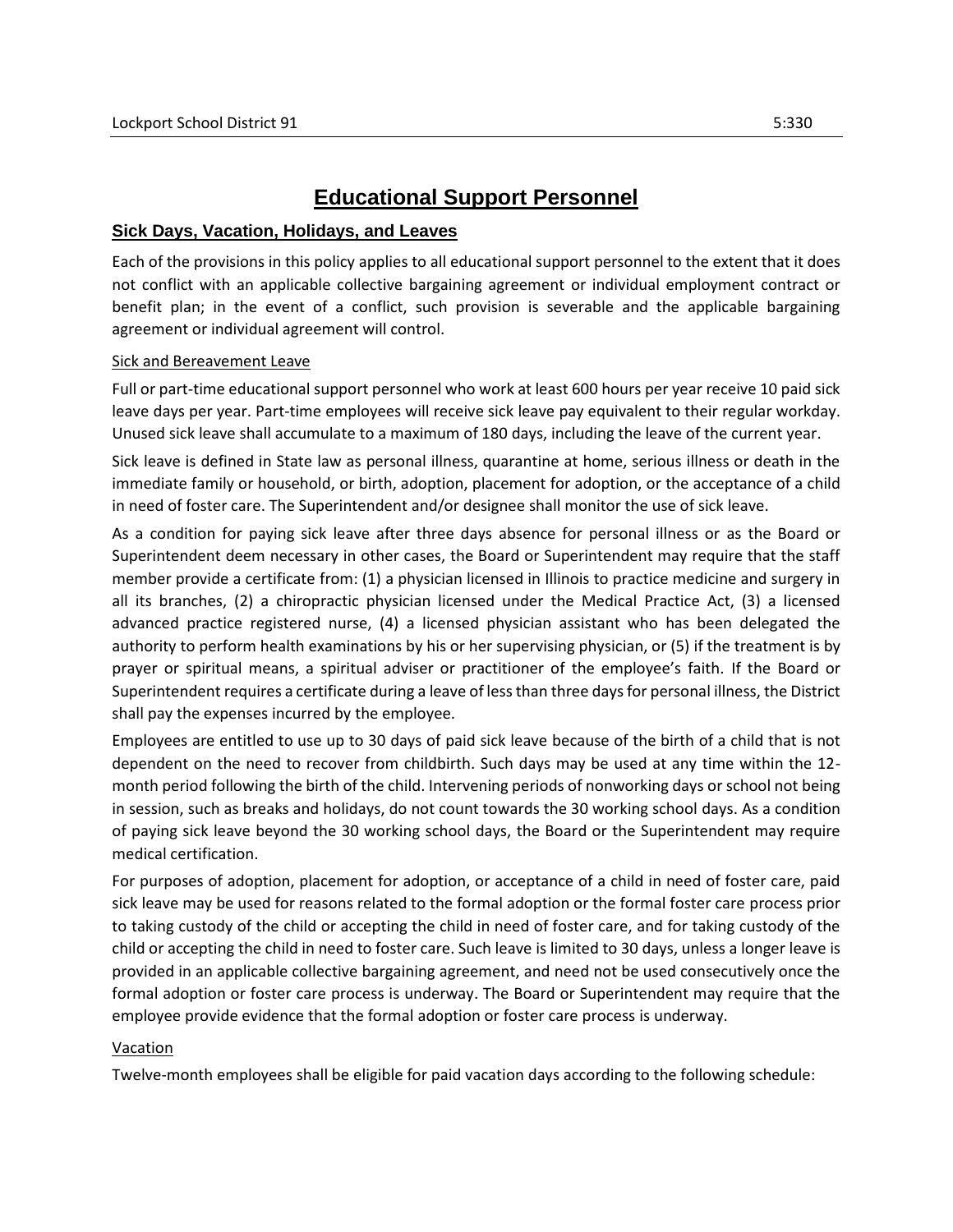# **Educational Support Personnel**

## **Sick Days, Vacation, Holidays, and Leaves**

Each of the provisions in this policy applies to all educational support personnel to the extent that it does not conflict with an applicable collective bargaining agreement or individual employment contract or benefit plan; in the event of a conflict, such provision is severable and the applicable bargaining agreement or individual agreement will control.

#### Sick and Bereavement Leave

Full or part-time educational support personnel who work at least 600 hours per year receive 10 paid sick leave days per year. Part-time employees will receive sick leave pay equivalent to their regular workday. Unused sick leave shall accumulate to a maximum of 180 days, including the leave of the current year.

Sick leave is defined in State law as personal illness, quarantine at home, serious illness or death in the immediate family or household, or birth, adoption, placement for adoption, or the acceptance of a child in need of foster care. The Superintendent and/or designee shall monitor the use of sick leave.

As a condition for paying sick leave after three days absence for personal illness or as the Board or Superintendent deem necessary in other cases, the Board or Superintendent may require that the staff member provide a certificate from: (1) a physician licensed in Illinois to practice medicine and surgery in all its branches, (2) a chiropractic physician licensed under the Medical Practice Act, (3) a licensed advanced practice registered nurse, (4) a licensed physician assistant who has been delegated the authority to perform health examinations by his or her supervising physician, or (5) if the treatment is by prayer or spiritual means, a spiritual adviser or practitioner of the employee's faith. If the Board or Superintendent requires a certificate during a leave of less than three days for personal illness, the District shall pay the expenses incurred by the employee.

Employees are entitled to use up to 30 days of paid sick leave because of the birth of a child that is not dependent on the need to recover from childbirth. Such days may be used at any time within the 12 month period following the birth of the child. Intervening periods of nonworking days or school not being in session, such as breaks and holidays, do not count towards the 30 working school days. As a condition of paying sick leave beyond the 30 working school days, the Board or the Superintendent may require medical certification.

For purposes of adoption, placement for adoption, or acceptance of a child in need of foster care, paid sick leave may be used for reasons related to the formal adoption or the formal foster care process prior to taking custody of the child or accepting the child in need of foster care, and for taking custody of the child or accepting the child in need to foster care. Such leave is limited to 30 days, unless a longer leave is provided in an applicable collective bargaining agreement, and need not be used consecutively once the formal adoption or foster care process is underway. The Board or Superintendent may require that the employee provide evidence that the formal adoption or foster care process is underway.

## Vacation

Twelve-month employees shall be eligible for paid vacation days according to the following schedule: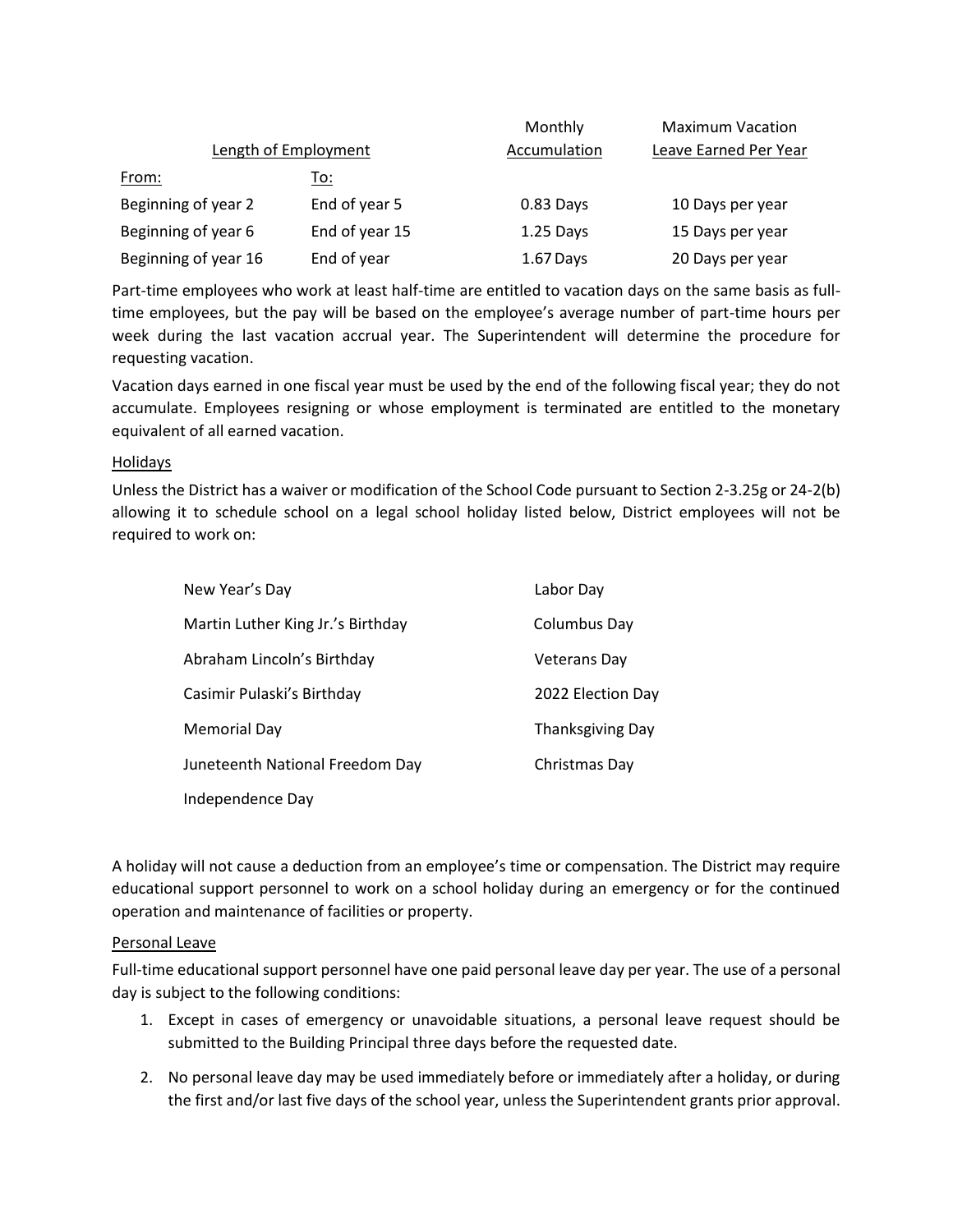|                             |                | Monthly      | <b>Maximum Vacation</b> |
|-----------------------------|----------------|--------------|-------------------------|
| <b>Length of Employment</b> |                | Accumulation | Leave Earned Per Year   |
| <u>From:</u>                | To:            |              |                         |
| Beginning of year 2         | End of year 5  | 0.83 Days    | 10 Days per year        |
| Beginning of year 6         | End of year 15 | $1.25$ Days  | 15 Days per year        |
| Beginning of year 16        | End of year    | 1.67 Days    | 20 Days per year        |

Part-time employees who work at least half-time are entitled to vacation days on the same basis as fulltime employees, but the pay will be based on the employee's average number of part-time hours per week during the last vacation accrual year. The Superintendent will determine the procedure for requesting vacation.

Vacation days earned in one fiscal year must be used by the end of the following fiscal year; they do not accumulate. Employees resigning or whose employment is terminated are entitled to the monetary equivalent of all earned vacation.

## Holidays

Unless the District has a waiver or modification of the School Code pursuant to Section 2-3.25g or 24-2(b) allowing it to schedule school on a legal school holiday listed below, District employees will not be required to work on:

| New Year's Day                    | Labor Day               |
|-----------------------------------|-------------------------|
| Martin Luther King Jr.'s Birthday | Columbus Day            |
| Abraham Lincoln's Birthday        | Veterans Dav            |
| Casimir Pulaski's Birthday        | 2022 Election Day       |
| Memorial Day                      | <b>Thanksgiving Day</b> |
| Juneteenth National Freedom Day   | Christmas Day           |
| Independence Day                  |                         |

A holiday will not cause a deduction from an employee's time or compensation. The District may require educational support personnel to work on a school holiday during an emergency or for the continued operation and maintenance of facilities or property.

## Personal Leave

Full-time educational support personnel have one paid personal leave day per year. The use of a personal day is subject to the following conditions:

- 1. Except in cases of emergency or unavoidable situations, a personal leave request should be submitted to the Building Principal three days before the requested date.
- 2. No personal leave day may be used immediately before or immediately after a holiday, or during the first and/or last five days of the school year, unless the Superintendent grants prior approval.